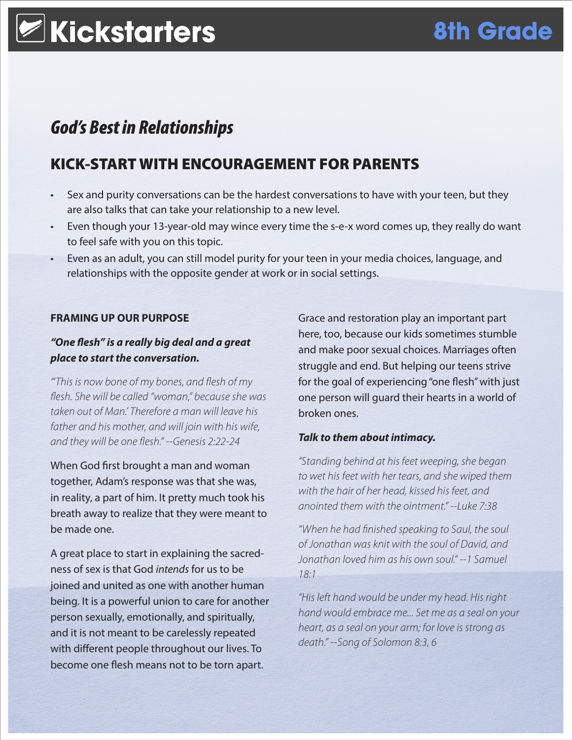# **Kickstarters 8th Grade**

## *God's Best in Relationships*

## KICK-START WITH ENCOURAGEMENT FOR PARENTS

- Sex and purity conversations can be the hardest conversations to have with your teen, but they are also talks that can take your relationship to a new level.
- Even though your 13-year-old may wince every time the s-e-x word comes up, they really do want to feel safe with you on this topic.
- Even as an adult, you can still model purity for your teen in your media choices, language, and relationships with the opposite gender at work or in social settings.

### **FRAMING UP OUR PURPOSE**

### *"One flesh" is a really big deal and a great place to start the conversation.*

*"'This is now bone of my bones, and flesh of my flesh. She will be called "woman," because she was taken out of Man.' Therefore a man will leave his father and his mother, and will join with his wife, and they will be one flesh." --Genesis 2:22-24*

When God first brought a man and woman together, Adam's response was that she was, in reality, a part of him. It pretty much took his breath away to realize that they were meant to be made one.

A great place to start in explaining the sacredness of sex is that God *intends* for us to be joined and united as one with another human being. It is a powerful union to care for another person sexually, emotionally, and spiritually, and it is not meant to be carelessly repeated with different people throughout our lives. To become one flesh means not to be torn apart.

Grace and restoration play an important part here, too, because our kids sometimes stumble and make poor sexual choices. Marriages often struggle and end. But helping our teens strive for the goal of experiencing "one flesh" with just one person will guard their hearts in a world of broken ones.

### *Talk to them about intimacy.*

*"Standing behind at his feet weeping, she began to wet his feet with her tears, and she wiped them with the hair of her head, kissed his feet, and anointed them with the ointment." --Luke 7:38*

*"When he had finished speaking to Saul, the soul of Jonathan was knit with the soul of David, and Jonathan loved him as his own soul." --1 Samuel 18:1*

*"His left hand would be under my head. His right hand would embrace me... Set me as a seal on your heart, as a seal on your arm; for love is strong as death." --Song of Solomon 8:3, 6*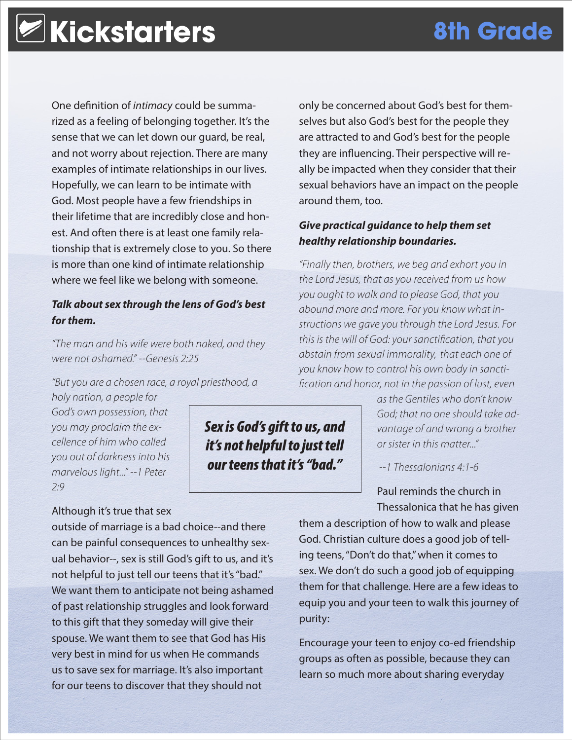One definition of *intimacy* could be summarized as a feeling of belonging together. It's the sense that we can let down our guard, be real, and not worry about rejection. There are many examples of intimate relationships in our lives. Hopefully, we can learn to be intimate with God. Most people have a few friendships in their lifetime that are incredibly close and honest. And often there is at least one family relationship that is extremely close to you. So there is more than one kind of intimate relationship where we feel like we belong with someone.

### *Talk about sex through the lens of God's best for them.*

*"The man and his wife were both naked, and they were not ashamed." --Genesis 2:25*

*"But you are a chosen race, a royal priesthood, a* 

*holy nation, a people for God's own possession, that you may proclaim the excellence of him who called you out of darkness into his marvelous light..." --1 Peter 2:9*

### Although it's true that sex

outside of marriage is a bad choice--and there can be painful consequences to unhealthy sexual behavior--, sex is still God's gift to us, and it's not helpful to just tell our teens that it's "bad." We want them to anticipate not being ashamed of past relationship struggles and look forward to this gift that they someday will give their spouse. We want them to see that God has His very best in mind for us when He commands us to save sex for marriage. It's also important for our teens to discover that they should not

*Sex is God's gift to us, and it's not helpful to just tell our teens that it's "bad."*

only be concerned about God's best for themselves but also God's best for the people they are attracted to and God's best for the people they are influencing. Their perspective will really be impacted when they consider that their sexual behaviors have an impact on the people around them, too.

### *Give practical guidance to help them set healthy relationship boundaries.*

*"Finally then, brothers, we beg and exhort you in the Lord Jesus, that as you received from us how you ought to walk and to please God, that you abound more and more. For you know what instructions we gave you through the Lord Jesus. For this is the will of God: your sanctification, that you abstain from sexual immorality, that each one of you know how to control his own body in sanctification and honor, not in the passion of lust, even* 

> *as the Gentiles who don't know God; that no one should take advantage of and wrong a brother or sister in this matter..."*

 *--1 Thessalonians 4:1-6*

Paul reminds the church in Thessalonica that he has given

them a description of how to walk and please God. Christian culture does a good job of telling teens, "Don't do that," when it comes to sex. We don't do such a good job of equipping them for that challenge. Here are a few ideas to equip you and your teen to walk this journey of purity:

Encourage your teen to enjoy co-ed friendship groups as often as possible, because they can learn so much more about sharing everyday